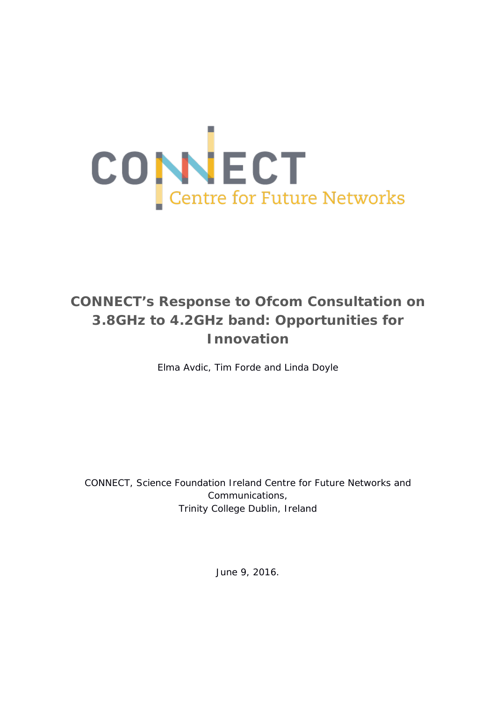

# **CONNECT's Response to Ofcom Consultation on 3.8GHz to 4.2GHz band: Opportunities for Innovation**

Elma Avdic, Tim Forde and Linda Doyle

CONNECT, Science Foundation Ireland Centre for Future Networks and Communications, Trinity College Dublin, Ireland

June 9, 2016.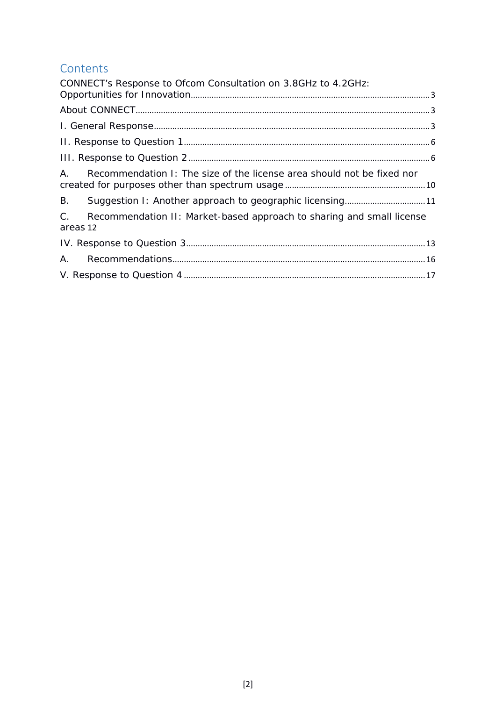# **Contents**

| CONNECT's Response to Ofcom Consultation on 3.8GHz to 4.2GHz:                                |  |
|----------------------------------------------------------------------------------------------|--|
|                                                                                              |  |
|                                                                                              |  |
|                                                                                              |  |
|                                                                                              |  |
| $A_{\cdot}$<br>Recommendation I: The size of the license area should not be fixed nor        |  |
| <b>B.</b><br>Suggestion I: Another approach to geographic licensing11                        |  |
| $C_{-}$<br>Recommendation II: Market-based approach to sharing and small license<br>areas 12 |  |
|                                                                                              |  |
| А.                                                                                           |  |
|                                                                                              |  |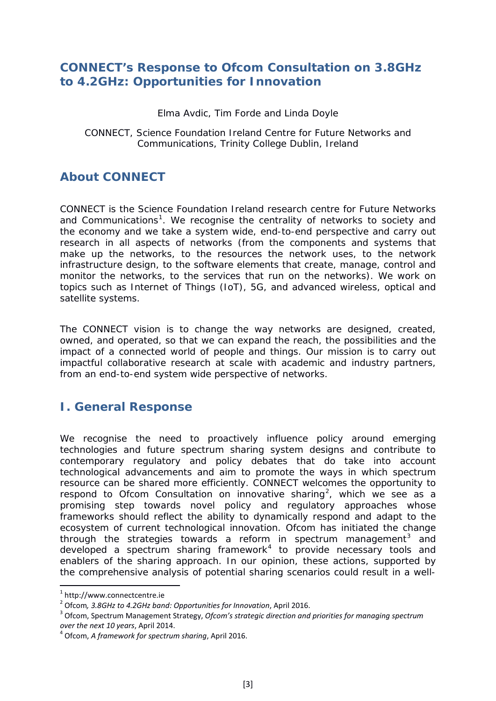### <span id="page-2-0"></span>**CONNECT's Response to Ofcom Consultation on 3.8GHz to 4.2GHz: Opportunities for Innovation**

Elma Avdic, Tim Forde and Linda Doyle

#### CONNECT, Science Foundation Ireland Centre for Future Networks and Communications, Trinity College Dublin, Ireland

# <span id="page-2-1"></span>**About CONNECT**

CONNECT is the Science Foundation Ireland research centre for Future Networks and Communications<sup>[1](#page-2-3)</sup>. We recognise the centrality of networks to society and the economy and we take a system wide, end-to-end perspective and carry out research in all aspects of networks (from the components and systems that make up the networks, to the resources the network uses, to the network infrastructure design, to the software elements that create, manage, control and monitor the networks, to the services that run on the networks). We work on topics such as Internet of Things (IoT), 5G, and advanced wireless, optical and satellite systems.

The CONNECT vision is to change the way networks are designed, created, owned, and operated, so that we can expand the reach, the possibilities and the impact of a connected world of people and things. Our mission is to carry out impactful collaborative research at scale with academic and industry partners, from an end-to-end system wide perspective of networks.

# <span id="page-2-2"></span>**I. General Response**

We recognise the need to proactively influence policy around emerging technologies and future spectrum sharing system designs and contribute to contemporary regulatory and policy debates that do take into account technological advancements and aim to promote the ways in which spectrum resource can be shared more efficiently. CONNECT welcomes the opportunity to respond to Ofcom Consultation on innovative sharing<sup>[2](#page-2-4)</sup>, which we see as a promising step towards novel policy and regulatory approaches whose frameworks should reflect the ability to dynamically respond and adapt to the ecosystem of current technological innovation. Ofcom has initiated the change through the strategies towards a reform in spectrum management<sup>[3](#page-2-5)</sup> and developed a spectrum sharing framework<sup>[4](#page-2-6)</sup> to provide necessary tools and enablers of the sharing approach. In our opinion, these actions, supported by the comprehensive analysis of potential sharing scenarios could result in a well-

<span id="page-2-3"></span><sup>&</sup>lt;sup>1</sup> http://www.connectcentre.ie<br><sup>2</sup> Ofcom, 3.8GHz to 4.2GHz band: Opportunities for Innovation, April 2016.

<span id="page-2-5"></span><span id="page-2-4"></span><sup>&</sup>lt;sup>3</sup> Ofcom, Spectrum Management Strategy, Ofcom's strategic direction and priorities for managing spectrum *over the next 10 years*, April 2014. <sup>4</sup> Ofcom, *A framework for spectrum sharing*, April 2016.

<span id="page-2-6"></span>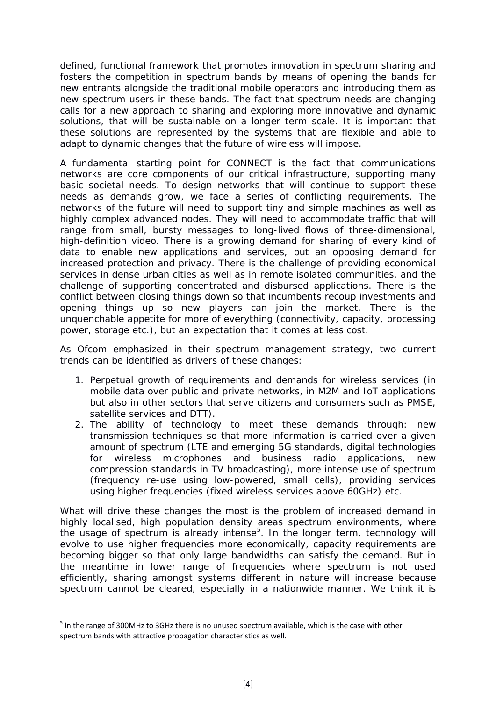defined, functional framework that promotes innovation in spectrum sharing and fosters the competition in spectrum bands by means of opening the bands for new entrants alongside the traditional mobile operators and introducing them as new spectrum users in these bands. The fact that spectrum needs are changing calls for a new approach to sharing and exploring more innovative and dynamic solutions, that will be sustainable on a longer term scale. It is important that these solutions are represented by the systems that are flexible and able to adapt to dynamic changes that the future of wireless will impose.

A fundamental starting point for CONNECT is the fact that communications networks are core components of our critical infrastructure, supporting many basic societal needs. To design networks that will continue to support these needs as demands grow, we face a series of conflicting requirements. The networks of the future will need to support tiny and simple machines as well as highly complex advanced nodes. They will need to accommodate traffic that will range from small, bursty messages to long-lived flows of three-dimensional, high-definition video. There is a growing demand for sharing of every kind of data to enable new applications and services, but an opposing demand for increased protection and privacy. There is the challenge of providing economical services in dense urban cities as well as in remote isolated communities, and the challenge of supporting concentrated and disbursed applications. There is the conflict between closing things down so that incumbents recoup investments and opening things up so new players can join the market. There is the unquenchable appetite for more of everything (connectivity, capacity, processing power, storage etc.), but an expectation that it comes at less cost.

As Ofcom emphasized in their spectrum management strategy, two current trends can be identified as drivers of these changes:

- 1. *Perpetual growth of requirements and demands* for wireless services (in mobile data over public and private networks, in M2M and IoT applications but also in other sectors that serve citizens and consumers such as PMSE, satellite services and DTT).
- 2. *The ability of technology to meet these demands* through: new transmission techniques so that more information is carried over a given amount of spectrum (LTE and emerging 5G standards, digital technologies for wireless microphones and business radio applications, new compression standards in TV broadcasting), more intense use of spectrum (frequency re-use using low-powered, small cells), providing services using higher frequencies (fixed wireless services above 60GHz) etc.

What will drive these changes the most is the problem of increased demand in highly localised, high population density areas spectrum environments, where the usage of spectrum is already intense<sup>[5](#page-3-0)</sup>. In the longer term, technology will evolve to use higher frequencies more economically, capacity requirements are becoming bigger so that only large bandwidths can satisfy the demand. But in the meantime in lower range of frequencies where spectrum is not used efficiently, sharing amongst systems different in nature will increase because spectrum cannot be cleared, especially in a nationwide manner. We think it is

 $\overline{a}$ 

<span id="page-3-0"></span> $<sup>5</sup>$  In the range of 300MHz to 3GHz there is no unused spectrum available, which is the case with other</sup> spectrum bands with attractive propagation characteristics as well.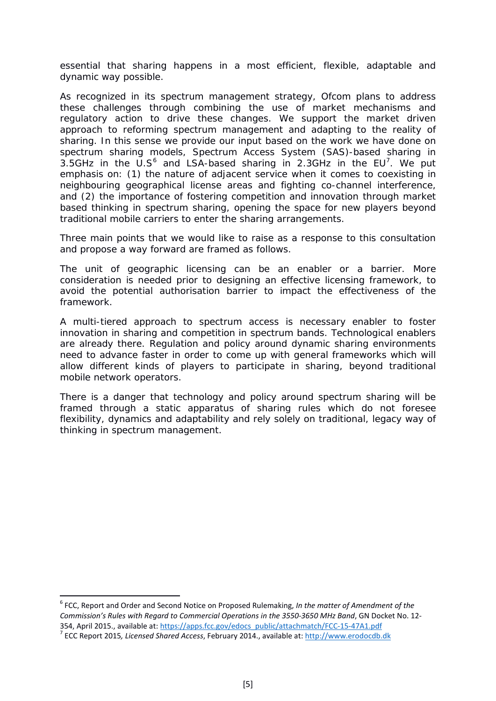essential that sharing happens in a most efficient, flexible, adaptable and dynamic way possible.

As recognized in its spectrum management strategy, Ofcom plans to address these challenges through combining the use of market mechanisms and regulatory action to drive these changes. We support the market driven approach to reforming spectrum management and adapting to the reality of sharing. In this sense we provide our input based on the work we have done on spectrum sharing models, Spectrum Access System (SAS)-based sharing in 3.5GHz in the U.S $^6$  $^6$  and LSA-based sharing in 2.3GHz in the EU<sup>[7](#page-4-1)</sup>. We put emphasis on: (1) the nature of adjacent service when it comes to coexisting in neighbouring geographical license areas and fighting co-channel interference, and (2) the importance of fostering competition and innovation through market based thinking in spectrum sharing, opening the space for new players beyond traditional mobile carriers to enter the sharing arrangements.

Three main points that we would like to raise as a response to this consultation and propose a way forward are framed as follows.

The unit of geographic licensing can be an enabler or a barrier. More consideration is needed prior to designing an effective licensing framework, to avoid the potential authorisation barrier to impact the effectiveness of the framework.

A multi-tiered approach to spectrum access is necessary enabler to foster innovation in sharing and competition in spectrum bands. Technological enablers are already there. Regulation and policy around dynamic sharing environments need to advance faster in order to come up with general frameworks which will allow different kinds of players to participate in sharing, beyond traditional mobile network operators.

There is a danger that technology and policy around spectrum sharing will be framed through a static apparatus of sharing rules which do not foresee flexibility, dynamics and adaptability and rely solely on traditional, legacy way of thinking in spectrum management.

<span id="page-4-0"></span><sup>6</sup> FCC, Report and Order and Second Notice on Proposed Rulemaking, *In the matter of Amendment of the Commission's Rules with Regard to Commercial Operations in the 3550-3650 MHz Band*, GN Docket No. 12- 354, April 2015., available at: [https://apps.fcc.gov/edocs\\_public/attachmatch/FCC-15-47A1.pdf](https://apps.fcc.gov/edocs_public/attachmatch/FCC-15-47A1.pdf) <sup>7</sup> ECC Report 2015*, Licensed Shared Access*, February 2014., available at: [http://www.erodocdb.dk](http://www.erodocdb.dk/)

<span id="page-4-1"></span>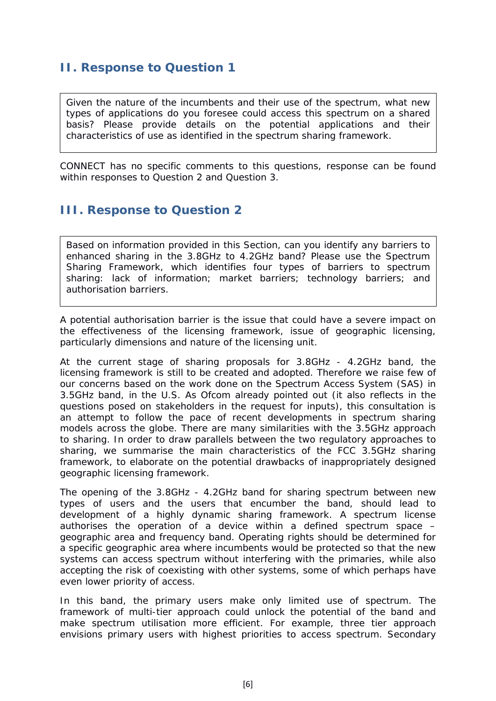### <span id="page-5-0"></span>**II. Response to Question 1**

Given the nature of the incumbents and their use of the spectrum, what new types of applications do you foresee could access this spectrum on a shared basis? Please provide details on the potential applications and their characteristics of use as identified in the spectrum sharing framework.

CONNECT has no specific comments to this questions, response can be found within responses to Question 2 and Question 3.

## <span id="page-5-1"></span>**III. Response to Question 2**

Based on information provided in this Section, can you identify any barriers to enhanced sharing in the 3.8GHz to 4.2GHz band? Please use the Spectrum Sharing Framework, which identifies four types of barriers to spectrum sharing: lack of information; market barriers; technology barriers; and authorisation barriers.

A potential authorisation barrier is the issue that could have a severe impact on the effectiveness of the licensing framework, issue of geographic licensing, particularly dimensions and nature of the licensing unit.

At the current stage of sharing proposals for 3.8GHz - 4.2GHz band, the licensing framework is still to be created and adopted. Therefore we raise few of our concerns based on the work done on the Spectrum Access System (SAS) in 3.5GHz band, in the U.S. As Ofcom already pointed out (it also reflects in the questions posed on stakeholders in the request for inputs), this consultation is an attempt to follow the pace of recent developments in spectrum sharing models across the globe. There are many similarities with the 3.5GHz approach to sharing. In order to draw parallels between the two regulatory approaches to sharing, we summarise the main characteristics of the FCC 3.5GHz sharing framework, to elaborate on the potential drawbacks of inappropriately designed geographic licensing framework.

The opening of the 3.8GHz - 4.2GHz band for sharing spectrum between new types of users and the users that encumber the band, should lead to development of a highly dynamic sharing framework. A spectrum license authorises the operation of a device within a defined spectrum space – geographic area and frequency band. Operating rights should be determined for a specific geographic area where incumbents would be protected so that the new systems can access spectrum without interfering with the primaries, while also accepting the risk of coexisting with other systems, some of which perhaps have even lower priority of access.

In this band, the primary users make only limited use of spectrum. The framework of multi-tier approach could unlock the potential of the band and make spectrum utilisation more efficient. For example, three tier approach envisions primary users with highest priorities to access spectrum. Secondary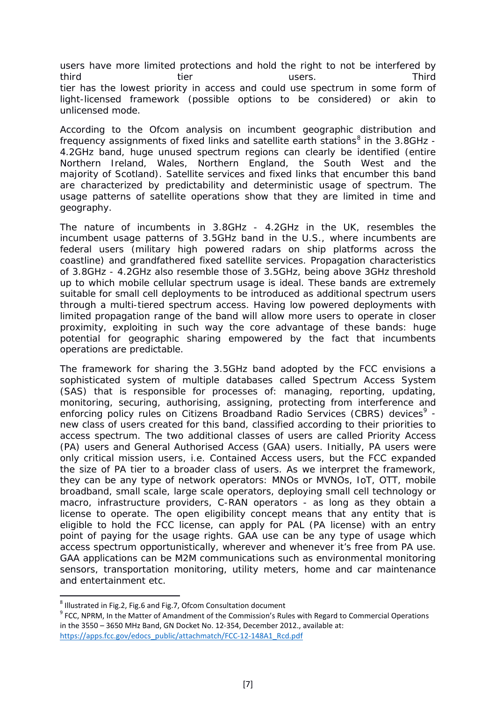users have more limited protections and hold the right to not be interfered by third tier third the tier was the series of the third that the term of the term of the term of the term of the tier has the lowest priority in access and could use spectrum in some form of light-licensed framework (possible options to be considered) or akin to unlicensed mode.

According to the Ofcom analysis on incumbent geographic distribution and frequency assignments of fixed links and satellite earth stations<sup>[8](#page-6-0)</sup> in the 3.8GHz -4.2GHz band, huge unused spectrum regions can clearly be identified (entire Northern Ireland, Wales, Northern England, the South West and the majority of Scotland). Satellite services and fixed links that encumber this band are characterized by predictability and deterministic usage of spectrum. The usage patterns of satellite operations show that they are limited in time and geography.

The nature of incumbents in 3.8GHz - 4.2GHz in the UK, resembles the incumbent usage patterns of 3.5GHz band in the U.S., where incumbents are federal users (military high powered radars on ship platforms across the coastline) and grandfathered fixed satellite services. Propagation characteristics of 3.8GHz - 4.2GHz also resemble those of 3.5GHz, being above 3GHz threshold up to which mobile cellular spectrum usage is ideal. These bands are extremely suitable for small cell deployments to be introduced as additional spectrum users through a multi-tiered spectrum access. Having low powered deployments with limited propagation range of the band will allow more users to operate in closer proximity, exploiting in such way the core advantage of these bands: huge potential for geographic sharing empowered by the fact that incumbents operations are predictable.

The framework for sharing the 3.5GHz band adopted by the FCC envisions a sophisticated system of multiple databases called Spectrum Access System (SAS) that is responsible for processes of: managing, reporting, updating, monitoring, securing, authorising, assigning, protecting from interference and enforcing policy rules on Citizens Broadband Radio Services (CBRS) devices<sup>[9](#page-6-1)</sup> new class of users created for this band, classified according to their priorities to access spectrum. The two additional classes of users are called Priority Access (PA) users and General Authorised Access (GAA) users. Initially, PA users were only critical mission users, i.e. Contained Access users, but the FCC expanded the size of PA tier to a broader class of users. As we interpret the framework, they can be any type of network operators: MNOs or MVNOs, IoT, OTT, mobile broadband, small scale, large scale operators, deploying small cell technology or macro, infrastructure providers, C-RAN operators - as long as they obtain a license to operate. The open eligibility concept means that any entity that is eligible to hold the FCC license, can apply for PAL (PA license) with an entry point of paying for the usage rights. GAA use can be any type of usage which access spectrum opportunistically, wherever and whenever it's free from PA use. GAA applications can be M2M communications such as environmental monitoring sensors, transportation monitoring, utility meters, home and car maintenance and entertainment etc.

<span id="page-6-1"></span><span id="page-6-0"></span><sup>&</sup>lt;sup>8</sup> Illustrated in Fig.2, Fig.6 and Fig.7, Ofcom Consultation document<br><sup>9</sup> FCC, NPRM, In the Matter of Amandment of the Commission's Rules with Regard to Commercial Operations in the 3550 – 3650 MHz Band, GN Docket No. 12-354, December 2012., available at: [https://apps.fcc.gov/edocs\\_public/attachmatch/FCC-12-148A1\\_Rcd.pdf](https://apps.fcc.gov/edocs_public/attachmatch/FCC-12-148A1_Rcd.pdf)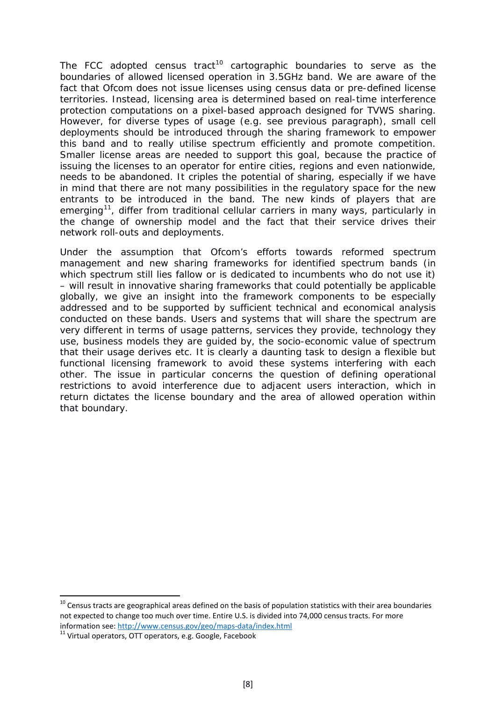The FCC adopted census tract<sup>[10](#page-7-0)</sup> cartographic boundaries to serve as the boundaries of allowed licensed operation in 3.5GHz band. We are aware of the fact that Ofcom does not issue licenses using census data or pre-defined license territories. Instead, licensing area is determined based on real-time interference protection computations on a pixel-based approach designed for TVWS sharing. However, for diverse types of usage (e.g. see previous paragraph), small cell deployments should be introduced through the sharing framework to empower this band and to really utilise spectrum efficiently and promote competition. Smaller license areas are needed to support this goal, because the practice of issuing the licenses to an operator for entire cities, regions and even nationwide, needs to be abandoned. It criples the potential of sharing, especially if we have in mind that there are not many possibilities in the regulatory space for the new entrants to be introduced in the band. The new kinds of players that are emerging<sup>11</sup>, differ from traditional cellular carriers in many ways, particularly in the change of ownership model and the fact that their service drives their network roll-outs and deployments.

Under the assumption that Ofcom's efforts towards reformed spectrum management and new sharing frameworks for identified spectrum bands (in which spectrum still lies fallow or is dedicated to incumbents who do not use it) – will result in innovative sharing frameworks that could potentially be applicable globally, we give an insight into the framework components to be especially addressed and to be supported by sufficient technical and economical analysis conducted on these bands. Users and systems that will share the spectrum are very different in terms of usage patterns, services they provide, technology they use, business models they are guided by, the socio-economic value of spectrum that their usage derives etc. It is clearly a daunting task to design a flexible but functional licensing framework to avoid these systems interfering with each other. The issue in particular concerns the question of defining operational restrictions to avoid interference due to adjacent users interaction, which in return dictates the license boundary and the area of allowed operation within that boundary.

<span id="page-7-0"></span> $10$  Census tracts are geographical areas defined on the basis of population statistics with their area boundaries not expected to change too much over time. Entire U.S. is divided into 74,000 census tracts. For more information see:<http://www.census.gov/geo/maps-data/index.html><br><sup>11</sup> Virtual operators, OTT operators, e.g. Google, Facebook

<span id="page-7-1"></span>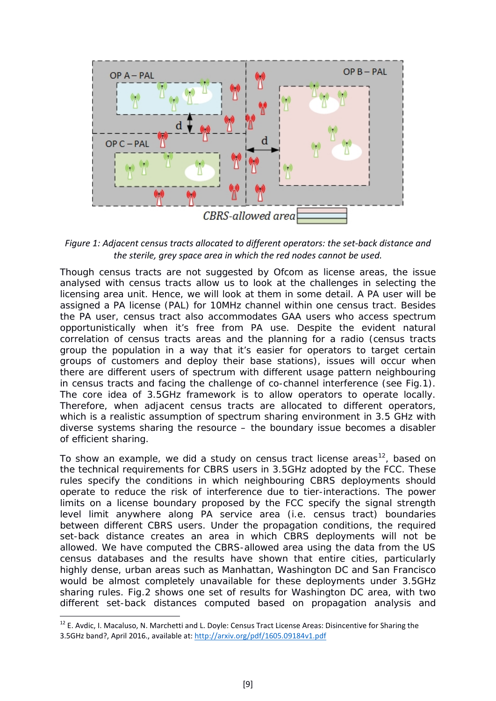

*Figure 1: Adjacent census tracts allocated to different operators: the set-back distance and the sterile, grey space area in which the red nodes cannot be used.*

Though census tracts are not suggested by Ofcom as license areas, the issue analysed with census tracts allow us to look at the challenges in selecting the licensing area unit. Hence, we will look at them in some detail. A PA user will be assigned a PA license (PAL) for 10MHz channel within one census tract. Besides the PA user, census tract also accommodates GAA users who access spectrum opportunistically when it's free from PA use. Despite the evident natural correlation of census tracts areas and the planning for a radio (census tracts group the population in a way that it's easier for operators to target certain groups of customers and deploy their base stations), issues will occur when there are different users of spectrum with different usage pattern neighbouring in census tracts and facing the challenge of co-channel interference (see Fig.1). The core idea of 3.5GHz framework is to allow operators to operate locally. Therefore, when adjacent census tracts are allocated to different operators, which is a realistic assumption of spectrum sharing environment in 3.5 GHz with diverse systems sharing the resource – the boundary issue becomes a disabler of efficient sharing.

To show an example, we did a study on census tract license areas<sup>12</sup>, based on the technical requirements for CBRS users in 3.5GHz adopted by the FCC. These rules specify the conditions in which neighbouring CBRS deployments should operate to reduce the risk of interference due to tier-interactions. The power limits on a license boundary proposed by the FCC specify the signal strength level limit anywhere along PA service area (i.e. census tract) boundaries between different CBRS users. Under the propagation conditions, the required set-back distance creates an area in which CBRS deployments will not be allowed. We have computed the CBRS-allowed area using the data from the US census databases and the results have shown that entire cities, particularly highly dense, urban areas such as Manhattan, Washington DC and San Francisco would be almost completely unavailable for these deployments under 3.5GHz sharing rules. Fig.2 shows one set of results for Washington DC area, with two different set-back distances computed based on propagation analysis and

 $\overline{a}$ 

<span id="page-8-0"></span><sup>&</sup>lt;sup>12</sup> E. Avdic, I. Macaluso, N. Marchetti and L. Doyle: Census Tract License Areas: Disincentive for Sharing the 3.5GHz band?, April 2016., available at[: http://arxiv.org/pdf/1605.09184v1.pdf](http://arxiv.org/pdf/1605.09184v1.pdf)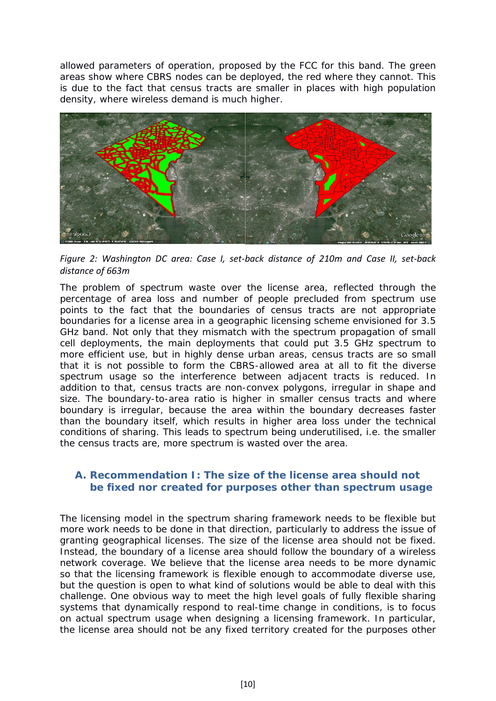allowed parameters of operation, proposed by the FCC for this band. The green areas show where CBRS nodes can be deployed, the red where they cannot. This is due to the fact that census tracts are smaller in places with high population density, where wireless demand is much higher.



*Figure 2: Washington DC area: Case I, set-back distance of 210m and Case II, set-back distance of 663m*

The problem of spectrum waste over the license area, reflected through the percentage of area loss and number of people precluded from spectrum use points to the fact that the boundaries of census tracts are not appropriate boundaries for a license area in a geographic licensing scheme envisioned for 3.5 GHz band. Not only that they mismatch with the spectrum propagation of small cell deployments, the main deployments that could put 3.5 GHz spectrum to more efficient use, but in highly dense urban areas, census tracts are so small that it is not possible to form the CBRS-allowed area at all to fit the diverse spectrum usage so the interference between adjacent tracts is reduced. In addition to that, census tracts are non-convex polygons, irregular in shape and size. The boundary-to-area ratio is higher in smaller census tracts and where boundary is irregular, because the area within the boundary decreases faster than the boundary itself, which results in higher area loss under the technical conditions of sharing. This leads to spectrum being underutilised, i.e. the smaller the census tracts are, more spectrum is wasted over the area.

#### <span id="page-9-0"></span>**A. Recommendation I: The size of the license area should not be fixed nor created for purposes other than spectrum usage**

The licensing model in the spectrum sharing framework needs to be flexible but more work needs to be done in that direction, particularly to address the issue of granting geographical licenses. The size of the license area should not be fixed. Instead, the boundary of a license area should follow the boundary of a wireless network coverage. We believe that the license area needs to be more dynamic so that the licensing framework is flexible enough to accommodate diverse use, but the question is open to what kind of solutions would be able to deal with this challenge. One obvious way to meet the high level goals of fully flexible sharing systems that dynamically respond to real-time change in conditions, is to focus on *actual spectrum usage* when designing a licensing framework. In particular, the license area should not be any fixed territory created for the purposes other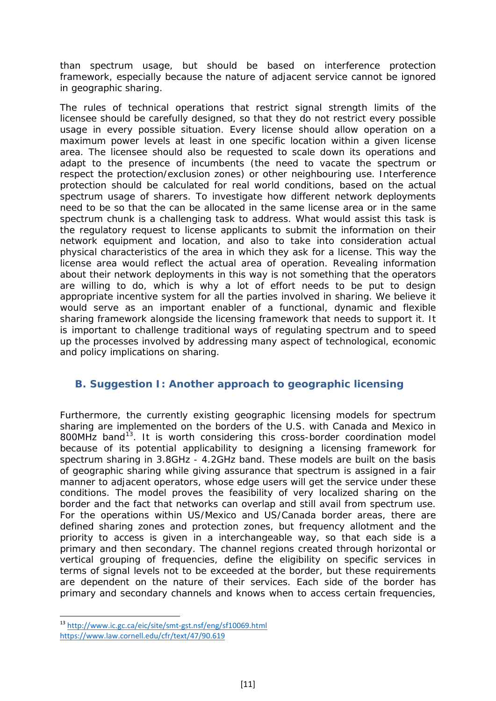than spectrum usage, but should be based on interference protection framework, especially because the nature of adjacent service cannot be ignored in geographic sharing.

The rules of technical operations that restrict signal strength limits of the licensee should be carefully designed, so that they do not restrict every possible usage in every possible situation. Every license should allow operation on a maximum power levels at least in one specific location within a given license area. The licensee should also be requested to scale down its operations and adapt to the presence of incumbents (the need to vacate the spectrum or respect the protection/exclusion zones) or other neighbouring use. Interference protection should be calculated for real world conditions, based on the actual spectrum usage of sharers. To investigate how different network deployments need to be so that the can be allocated in the same license area or in the same spectrum chunk is a challenging task to address. What would assist this task is the regulatory request to license applicants to submit the information on their network equipment and location, and also to take into consideration actual physical characteristics of the area in which they ask for a license. This way the license area would reflect the actual area of operation. Revealing information about their network deployments in this way is not something that the operators are willing to do, which is why a lot of effort needs to be put to design appropriate incentive system for all the parties involved in sharing. We believe it would serve as an important enabler of a functional, dynamic and flexible sharing framework alongside the licensing framework that needs to support it. It is important to challenge traditional ways of regulating spectrum and to speed up the processes involved by addressing many aspect of technological, economic and policy implications on sharing.

### <span id="page-10-0"></span>**B. Suggestion I: Another approach to geographic licensing**

Furthermore, the currently existing geographic licensing models for spectrum sharing are implemented on the borders of the U.S. with Canada and Mexico in 800MHz band<sup>13</sup>. It is worth considering this cross-border coordination model because of its potential applicability to designing a licensing framework for spectrum sharing in 3.8GHz - 4.2GHz band. These models are built on the basis of geographic sharing while giving assurance that spectrum is assigned in a fair manner to adjacent operators, whose edge users will get the service under these conditions. The model proves the feasibility of very localized sharing on the border and the fact that networks can overlap and still avail from spectrum use. For the operations within US/Mexico and US/Canada border areas, there are defined sharing zones and protection zones, but frequency allotment and the priority to access is given in a interchangeable way, so that each side is a primary and then secondary. The channel regions created through horizontal or vertical grouping of frequencies, define the eligibility on specific services in terms of signal levels not to be exceeded at the border, but these requirements are dependent on the nature of their services. Each side of the border has primary and secondary channels and knows when to access certain frequencies,

<span id="page-10-1"></span><sup>&</sup>lt;sup>13</sup> <http://www.ic.gc.ca/eic/site/smt-gst.nsf/eng/sf10069.html> <https://www.law.cornell.edu/cfr/text/47/90.619>  $\overline{a}$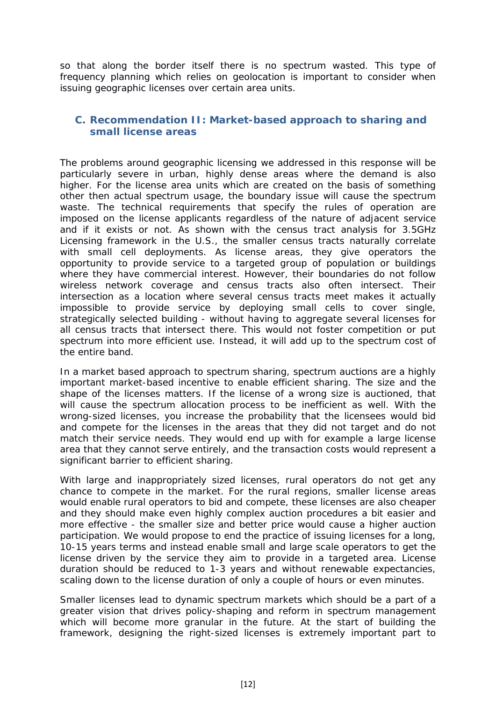so that along the border itself there is no spectrum wasted. This type of frequency planning which relies on geolocation is important to consider when issuing geographic licenses over certain area units.

#### <span id="page-11-0"></span>**C. Recommendation II: Market-based approach to sharing and small license areas**

The problems around geographic licensing we addressed in this response will be particularly severe in urban, highly dense areas where the demand is also higher. For the license area units which are created on the basis of something other then actual spectrum usage, the boundary issue will cause the spectrum waste. The technical requirements that specify the rules of operation are imposed on the license applicants regardless of the nature of adjacent service and if it exists or not. As shown with the census tract analysis for 3.5GHz Licensing framework in the U.S., the smaller census tracts naturally correlate with small cell deployments. As license areas, they give operators the opportunity to provide service to a targeted group of population or buildings where they have commercial interest. However, their boundaries do not follow wireless network coverage and census tracts also often intersect. Their intersection as a location where several census tracts meet makes it actually impossible to provide service by deploying small cells to cover single, strategically selected building - without having to aggregate several licenses for all census tracts that intersect there. This would not foster competition or put spectrum into more efficient use. Instead, it will add up to the spectrum cost of the entire band.

In a market based approach to spectrum sharing, spectrum auctions are a highly important market-based incentive to enable efficient sharing. The size and the shape of the licenses matters. If the license of a wrong size is auctioned, that will cause the spectrum allocation process to be inefficient as well. With the wrong-sized licenses, you increase the probability that the licensees would bid and compete for the licenses in the areas that they did not target and do not match their service needs. They would end up with for example a large license area that they cannot serve entirely, and the transaction costs would represent a significant barrier to efficient sharing.

With large and inappropriately sized licenses, rural operators do not get any chance to compete in the market. For the rural regions, smaller license areas would enable rural operators to bid and compete, these licenses are also cheaper and they should make even highly complex auction procedures a bit easier and more effective - the smaller size and better price would cause a higher auction participation. We would propose to end the practice of issuing licenses for a long, 10-15 years terms and instead enable small and large scale operators to get the license driven by the service they aim to provide in a targeted area. License duration should be reduced to 1-3 years and without renewable expectancies, scaling down to the license duration of only a couple of hours or even minutes.

Smaller licenses lead to dynamic spectrum markets which should be a part of a greater vision that drives policy-shaping and reform in spectrum management which will become more granular in the future. At the start of building the framework, designing the right-sized licenses is extremely important part to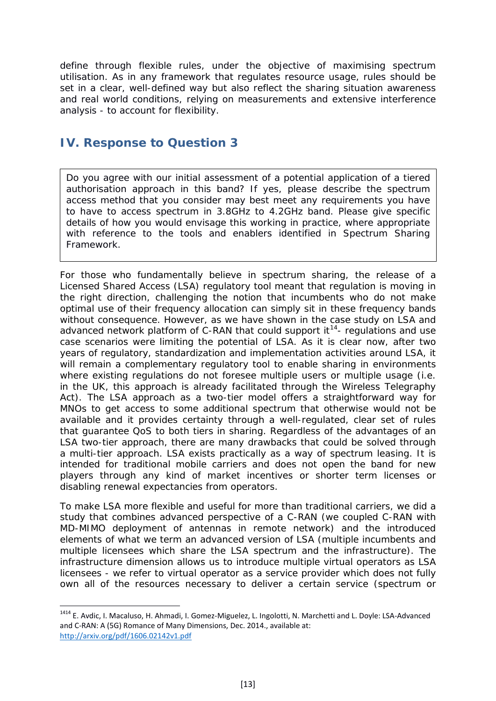define through flexible rules, under the objective of maximising spectrum utilisation. As in any framework that regulates resource usage, rules should be set in a clear, well-defined way but also reflect the sharing situation awareness and real world conditions, relying on measurements and extensive interference analysis - to account for flexibility.

### <span id="page-12-0"></span>**IV. Response to Question 3**

 $\overline{a}$ 

Do you agree with our initial assessment of a potential application of a tiered authorisation approach in this band? If yes, please describe the spectrum access method that you consider may best meet any requirements you have to have to access spectrum in 3.8GHz to 4.2GHz band. Please give specific details of how you would envisage this working in practice, where appropriate with reference to the tools and enablers identified in Spectrum Sharing Framework.

For those who fundamentally believe in spectrum sharing, the release of a Licensed Shared Access (LSA) regulatory tool meant that regulation is moving in the right direction, challenging the notion that incumbents who do not make optimal use of their frequency allocation can simply sit in these frequency bands without consequence. However, as we have shown in the case study on LSA and advanced network platform of C-RAN that could support it<sup>[14](#page-12-1)</sup>- regulations and use case scenarios were limiting the potential of LSA. As it is clear now, after two years of regulatory, standardization and implementation activities around LSA, it will remain a complementary regulatory tool to enable sharing in environments where existing regulations do not foresee multiple users or multiple usage (i.e. in the UK, this approach is already facilitated through the Wireless Telegraphy Act). The LSA approach as a two-tier model offers a straightforward way for MNOs to get access to some additional spectrum that otherwise would not be available and it provides certainty through a well-regulated, clear set of rules that guarantee QoS to both tiers in sharing. Regardless of the advantages of an LSA two-tier approach, there are many drawbacks that could be solved through a multi-tier approach. LSA exists practically as a way of spectrum leasing. It is intended for traditional mobile carriers and does not open the band for new players through any kind of market incentives or shorter term licenses or disabling renewal expectancies from operators.

To make LSA more flexible and useful for more than traditional carriers, we did a study that combines advanced perspective of a C-RAN (we coupled C-RAN with MD-MIMO deployment of antennas in remote network) and the introduced elements of what we term an advanced version of LSA (multiple incumbents and multiple licensees which share the LSA spectrum and the infrastructure). The infrastructure dimension allows us to introduce multiple virtual operators as LSA licensees - we refer to virtual operator as a service provider which does not fully own all of the resources necessary to deliver a certain service (spectrum or

<span id="page-12-1"></span><sup>&</sup>lt;sup>1414</sup> E. Avdic, I. Macaluso, H. Ahmadi, I. Gomez-Miguelez, L. Ingolotti, N. Marchetti and L. Doyle: LSA-Advanced and C-RAN: A (5G) Romance of Many Dimensions, Dec. 2014., available at: <http://arxiv.org/pdf/1606.02142v1.pdf>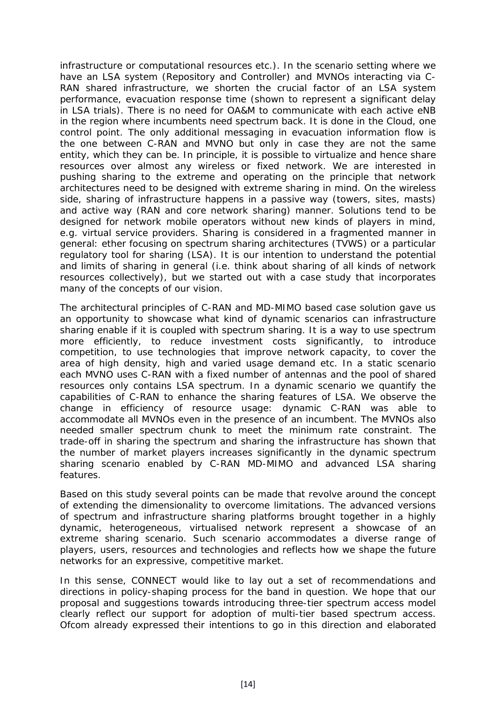infrastructure or computational resources etc.). In the scenario setting where we have an LSA system (Repository and Controller) and MVNOs interacting via C-RAN shared infrastructure, we shorten the crucial factor of an LSA system performance, evacuation response time (shown to represent a significant delay in LSA trials). There is no need for OA&M to communicate with each active eNB in the region where incumbents need spectrum back. It is done in the Cloud, one control point. The only additional messaging in evacuation information flow is the one between C-RAN and MVNO but only in case they are not the same entity, which they can be. In principle, it is possible to virtualize and hence share resources over almost any wireless or fixed network. We are interested in pushing sharing to the extreme and operating on the principle that network architectures need to be designed with extreme sharing in mind. On the wireless side, sharing of infrastructure happens in a passive way (towers, sites, masts) and active way (RAN and core network sharing) manner. Solutions tend to be designed for network mobile operators without new kinds of players in mind, e.g. virtual service providers. Sharing is considered in a fragmented manner in general: ether focusing on spectrum sharing architectures (TVWS) or a particular regulatory tool for sharing (LSA). It is our intention to understand the potential and limits of sharing in general (i.e. think about sharing of all kinds of network resources collectively), but we started out with a case study that incorporates many of the concepts of our vision.

The architectural principles of C-RAN and MD-MIMO based case solution gave us an opportunity to showcase what kind of dynamic scenarios can infrastructure sharing enable if it is coupled with spectrum sharing. It is a way to use spectrum more efficiently, to reduce investment costs significantly, to introduce competition, to use technologies that improve network capacity, to cover the area of high density, high and varied usage demand etc. In a static scenario each MVNO uses C-RAN with a fixed number of antennas and the pool of shared resources only contains LSA spectrum. In a dynamic scenario we quantify the capabilities of C-RAN to enhance the sharing features of LSA. We observe the change in efficiency of resource usage: dynamic C-RAN was able to accommodate all MVNOs even in the presence of an incumbent. The MVNOs also needed smaller spectrum chunk to meet the minimum rate constraint. The trade-off in sharing the spectrum and sharing the infrastructure has shown that the number of market players increases significantly in the dynamic spectrum sharing scenario enabled by C-RAN MD-MIMO and advanced LSA sharing features.

Based on this study several points can be made that revolve around the concept of extending the dimensionality to overcome limitations. The advanced versions of spectrum and infrastructure sharing platforms brought together in a highly dynamic, heterogeneous, virtualised network represent a showcase of an extreme sharing scenario. Such scenario accommodates a diverse range of players, users, resources and technologies and reflects how we shape the future networks for an expressive, competitive market.

In this sense, CONNECT would like to lay out a set of recommendations and directions in policy-shaping process for the band in question. We hope that our proposal and suggestions towards introducing three-tier spectrum access model clearly reflect our support for adoption of multi-tier based spectrum access. Ofcom already expressed their intentions to go in this direction and elaborated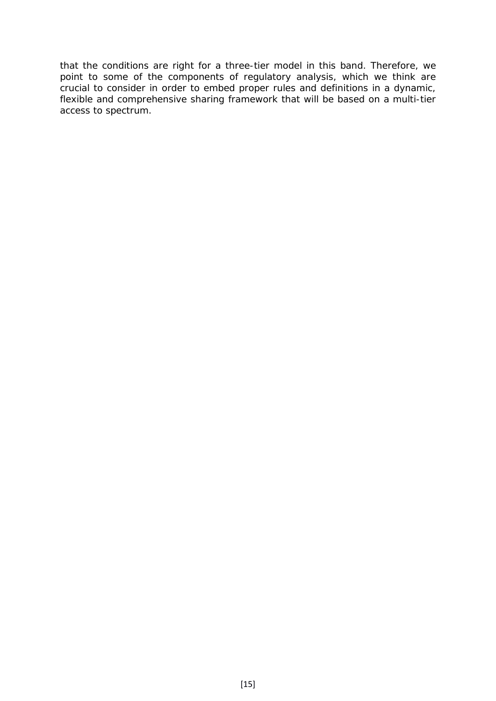that the conditions are right for a three-tier model in this band. Therefore, we point to some of the components of regulatory analysis, which we think are crucial to consider in order to embed proper rules and definitions in a dynamic, flexible and comprehensive sharing framework that will be based on a multi-tier access to spectrum.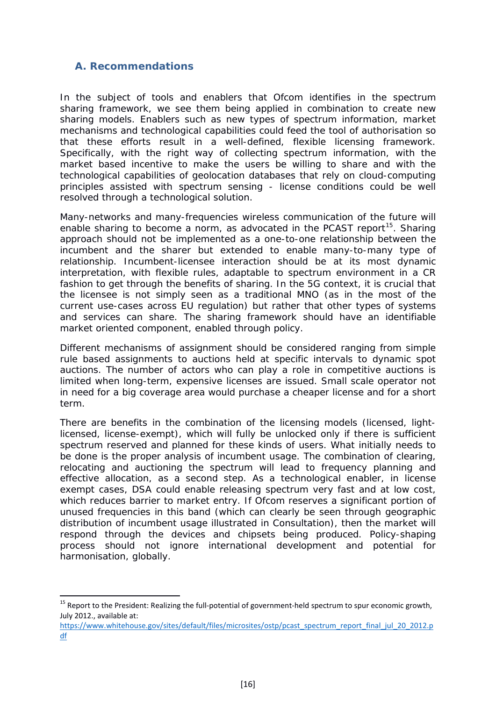#### <span id="page-15-0"></span>**A. Recommendations**

**.** 

In the subject of tools and enablers that Ofcom identifies in the spectrum sharing framework, we see them being applied in combination to create new sharing models. Enablers such as *new types of spectrum information, market mechanisms and technological capabilities* could feed the *tool of authorisation* so that these efforts result in a well-defined, flexible licensing framework. Specifically, with the right way of collecting spectrum information, with the market based incentive to make the users be willing to share and with the technological capabilities of geolocation databases that rely on cloud-computing principles assisted with spectrum sensing - license conditions could be well resolved through a technological solution.

Many-networks and many-frequencies wireless communication of the future will enable sharing to become a norm, as advocated in the PCAST report<sup>15</sup>. Sharing approach should not be implemented as a one-to-one relationship between the incumbent and the sharer but extended to enable many-to-many type of relationship. Incumbent-licensee interaction should be at its most dynamic interpretation, with flexible rules, adaptable to spectrum environment in a CR fashion to get through the benefits of sharing. In the 5G context, it is crucial that the licensee is not simply seen as a traditional MNO (as in the most of the current use-cases across EU regulation) but rather that other types of systems and services can share. The sharing framework should have an identifiable market oriented component, enabled through policy.

Different mechanisms of assignment should be considered ranging from simple rule based assignments to auctions held at specific intervals to dynamic spot auctions. The number of actors who can play a role in competitive auctions is limited when long-term, expensive licenses are issued. Small scale operator not in need for a big coverage area would purchase a cheaper license and for a short term.

There are benefits in the combination of the licensing models (licensed, lightlicensed, license-exempt), which will fully be unlocked only if there is sufficient spectrum reserved and planned for these kinds of users. What initially needs to be done is the proper analysis of incumbent usage. The combination of clearing, relocating and auctioning the spectrum will lead to frequency planning and effective allocation, as a second step. As a technological enabler, in license exempt cases, DSA could enable releasing spectrum very fast and at low cost, which reduces barrier to market entry. If Ofcom reserves a significant portion of unused frequencies in this band (which can clearly be seen through geographic distribution of incumbent usage illustrated in Consultation), then the market will respond through the devices and chipsets being produced. Policy-shaping process should not ignore international development and potential for harmonisation, globally.

<span id="page-15-1"></span><sup>&</sup>lt;sup>15</sup> Report to the President: Realizing the full-potential of government-held spectrum to spur economic growth, July 2012., available at:

[https://www.whitehouse.gov/sites/default/files/microsites/ostp/pcast\\_spectrum\\_report\\_final\\_jul\\_20\\_2012.p](https://www.whitehouse.gov/sites/default/files/microsites/ostp/pcast_spectrum_report_final_jul_20_2012.pdf) [df](https://www.whitehouse.gov/sites/default/files/microsites/ostp/pcast_spectrum_report_final_jul_20_2012.pdf)